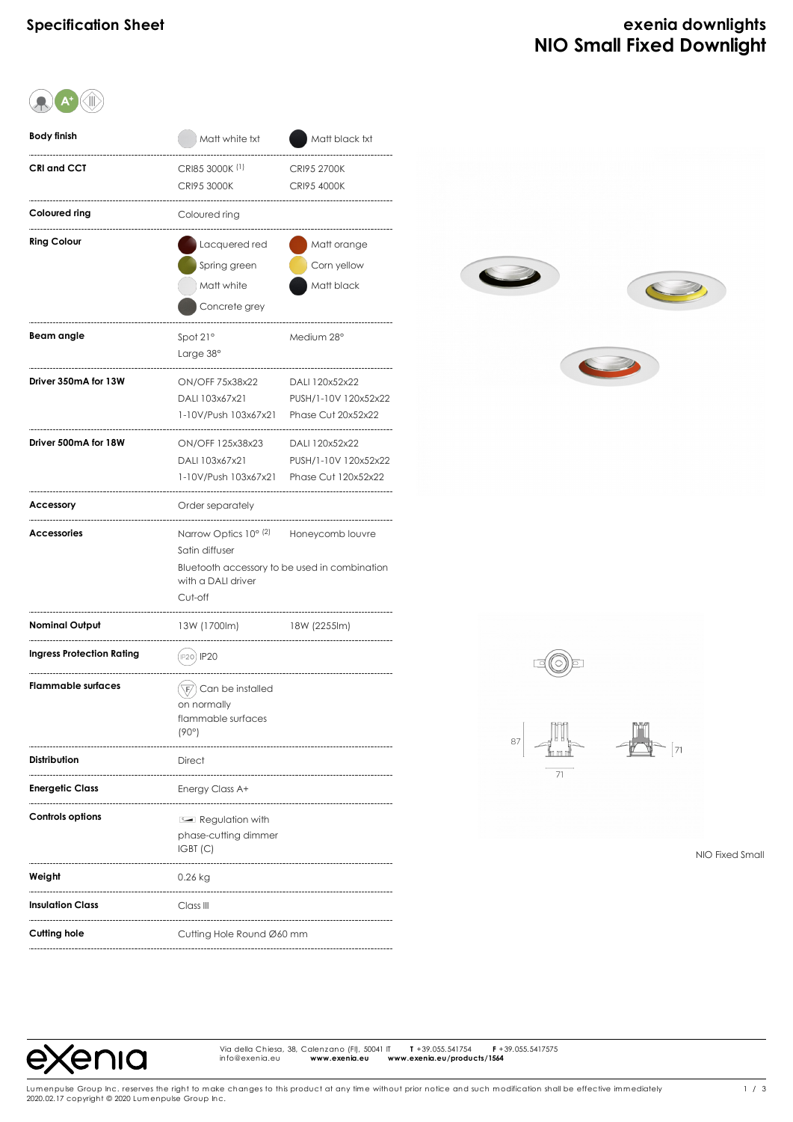# **Specification Sheet exenia downlights NIO Small Fixed Downlight**

| Body finish                      | Matt white txt                                                                                                                                | Matt black txt                                                |  |  |  |
|----------------------------------|-----------------------------------------------------------------------------------------------------------------------------------------------|---------------------------------------------------------------|--|--|--|
| <b>CRI and CCT</b>               | CRI85 3000K <sup>(1)</sup><br><b>CRI95 3000K</b>                                                                                              | <b>CRI95 2700K</b><br>CRI95 4000K                             |  |  |  |
| Coloured ring                    | Coloured ring                                                                                                                                 |                                                               |  |  |  |
| <b>Ring Colour</b>               | Lacquered red<br>Spring green<br>Matt white<br>Concrete grey                                                                                  | Matt orange<br>Corn yellow<br>Matt black                      |  |  |  |
| Beam angle                       | Spot 21°<br>Large 38°                                                                                                                         | Medium 28°                                                    |  |  |  |
| Driver 350mA for 13W             | ON/OFF 75x38x22<br>DALI 103x67x21<br>1-10V/Push 103x67x21                                                                                     | DALI 120x52x22<br>PUSH/1-10V 120x52x22<br>Phase Cut 20x52x22  |  |  |  |
| Driver 500mA for 18W             | ON/OFF 125x38x23<br>DALI 103x67x21<br>1-10V/Push 103x67x21                                                                                    | DALI 120x52x22<br>PUSH/1-10V 120x52x22<br>Phase Cut 120x52x22 |  |  |  |
| <b>Accessory</b>                 | Order separately                                                                                                                              |                                                               |  |  |  |
| <b>Accessories</b>               | Narrow Optics 10° (2)<br>Honeycomb louvre<br>Satin diffuser<br>Bluetooth accessory to be used in combination<br>with a DALI driver<br>Cut-off |                                                               |  |  |  |
| Nominal Output                   | 13W (1700lm)                                                                                                                                  | 18W (2255lm)                                                  |  |  |  |
| <b>Ingress Protection Rating</b> | IP20) <b>IP20</b>                                                                                                                             |                                                               |  |  |  |
| <b>Flammable surfaces</b>        | $\left(\overline{\mathbb{F}}\right)$ Can be installed<br>on normally<br>flammable surfaces<br>(90°)                                           |                                                               |  |  |  |
| <b>Distribution</b>              | <b>Direct</b>                                                                                                                                 |                                                               |  |  |  |
| <b>Energetic Class</b>           | Energy Class A+                                                                                                                               |                                                               |  |  |  |
| <b>Controls options</b>          | Regulation with<br>phase-cutting dimmer<br>IGBT(C)                                                                                            |                                                               |  |  |  |
| Weight                           | 0.26 kg                                                                                                                                       |                                                               |  |  |  |
| <b>Insulation Class</b>          | Class III                                                                                                                                     |                                                               |  |  |  |
| Cutting hole                     | Cutting Hole Round Ø60 mm                                                                                                                     |                                                               |  |  |  |





NIO Fixed Small



Via della Chiesa, 38, Calenzano (FI), 50041 IT **T** +39.055.541754 **F** +39.055.5417575 Via della Chiesa, 38, Calenzano (FI), 50041 IT<br>info@exenia.eu **www.exenia.eu ww**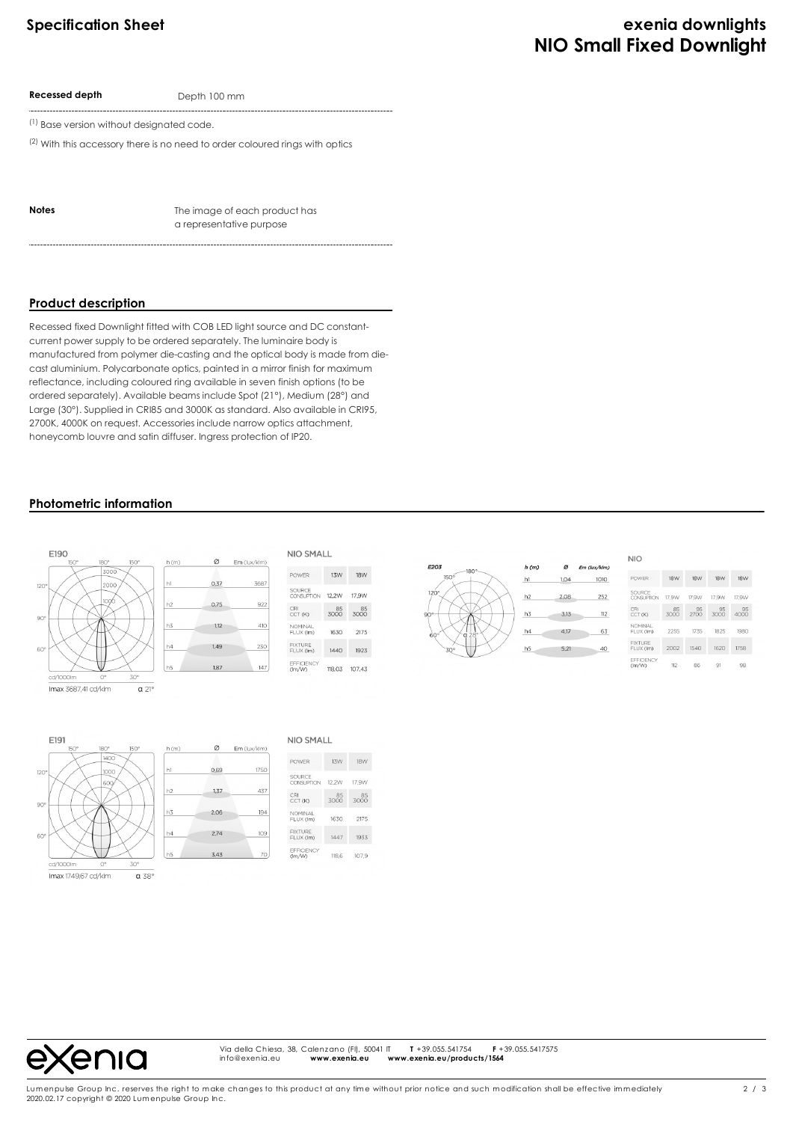# **Specification Sheet exenia downlights NIO Small Fixed Downlight**

**Recessed depth** Depth 100 mm

(1) Base version without designated code.

 $(2)$  With this accessory there is no need to order coloured rings with optics

**Notes** The image of each product has a representative purpose

# **Product description**

Recessed fixed Downlight fitted with COB LED light source and DC constantcurrent power supply to be ordered separately. The luminaire body is manufactured from polymer die-casting and the optical body is made from diecast aluminium. Polycarbonate optics, painted in a mirror finish for maximum reflectance, including coloured ring available in seven finish options (to be ordered separately). Available beams include Spot (21°), Medium (28°) and Large (30°). Supplied in CRI85 and 3000K as standard. Also available in CRI95, 2700K, 4000K on request. Accessories include narrow optics attachment, honeycomb louvre and satin diffuser. Ingress protection of IP20.

#### **Photometric information**



| <b>NIO</b>                  |            |            |            |            |  |
|-----------------------------|------------|------------|------------|------------|--|
| <b>POWER</b>                | <b>18W</b> | <b>18W</b> | <b>18W</b> | <b>18W</b> |  |
| SOURCE<br>CONSUPTION        | 17.9W      | 17.9W      | 17.9W      | 17.9W      |  |
| CRI<br>CCT (K)              | 85<br>3000 | 95<br>2700 | 95<br>3000 | 95<br>4000 |  |
| <b>NOMINAL</b><br>FLUX (Im) | 2255       | 1735       | 1825       | 1980       |  |
| <b>FIXTURE</b><br>FLUX (Im) | 2002       | 1540       | 1620       | 1758       |  |
| EFFICIENCY<br>(Im/W)        | 112        | 86         | 91         | 98         |  |

 $\alpha$  $Em$  (lux/klm)

 $1,04$ 

2.08

 $3,13$ 

4,17

 $5,21$ 

1010

252

 $\overline{112}$ 

63

4C